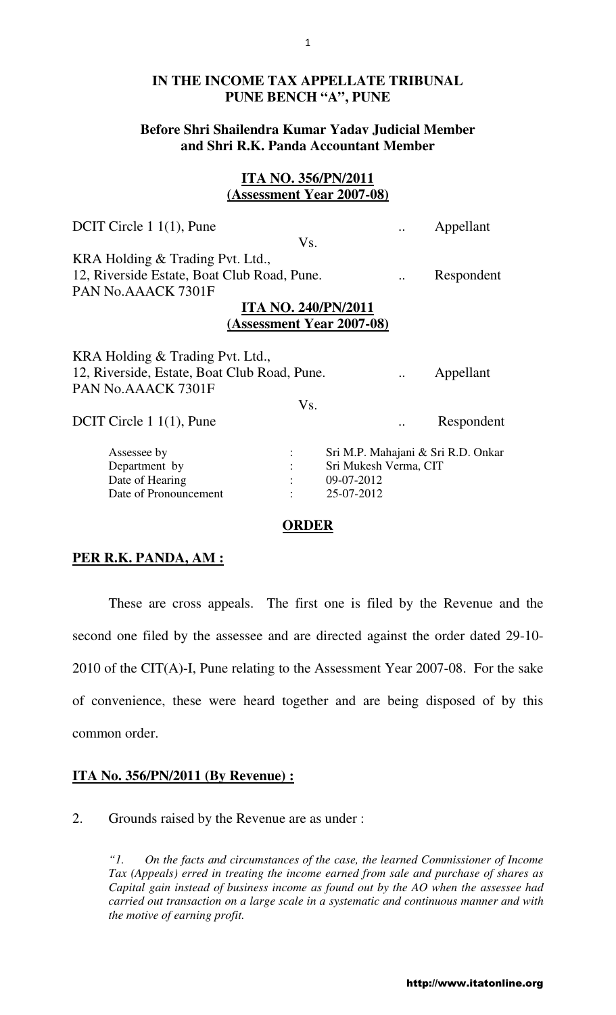## **IN THE INCOME TAX APPELLATE TRIBUNAL PUNE BENCH "A", PUNE**

# **Before Shri Shailendra Kumar Yadav Judicial Member and Shri R.K. Panda Accountant Member**

# **ITA NO. 356/PN/2011 (Assessment Year 2007-08)**

|     |                       |                                                                                                                                                       | Appellant                                                       |
|-----|-----------------------|-------------------------------------------------------------------------------------------------------------------------------------------------------|-----------------------------------------------------------------|
| Vs. |                       |                                                                                                                                                       |                                                                 |
|     |                       |                                                                                                                                                       |                                                                 |
|     |                       |                                                                                                                                                       | Respondent                                                      |
|     |                       |                                                                                                                                                       |                                                                 |
|     |                       |                                                                                                                                                       |                                                                 |
|     |                       |                                                                                                                                                       |                                                                 |
|     |                       |                                                                                                                                                       |                                                                 |
|     |                       |                                                                                                                                                       |                                                                 |
|     |                       |                                                                                                                                                       | Appellant                                                       |
|     |                       |                                                                                                                                                       |                                                                 |
|     |                       |                                                                                                                                                       |                                                                 |
|     |                       |                                                                                                                                                       |                                                                 |
|     |                       |                                                                                                                                                       | Respondent                                                      |
|     |                       |                                                                                                                                                       |                                                                 |
|     | Sri Mukesh Verma, CIT |                                                                                                                                                       |                                                                 |
|     |                       |                                                                                                                                                       |                                                                 |
|     |                       |                                                                                                                                                       |                                                                 |
|     |                       |                                                                                                                                                       |                                                                 |
|     | Vs.                   | 12, Riverside Estate, Boat Club Road, Pune.<br><b>ITA NO. 240/PN/2011</b><br>12, Riverside, Estate, Boat Club Road, Pune.<br>09-07-2012<br>25-07-2012 | (Assessment Year 2007-08)<br>Sri M.P. Mahajani & Sri R.D. Onkar |

#### **ORDER**

## **PER R.K. PANDA, AM :**

These are cross appeals. The first one is filed by the Revenue and the second one filed by the assessee and are directed against the order dated 29-10- 2010 of the CIT(A)-I, Pune relating to the Assessment Year 2007-08. For the sake of convenience, these were heard together and are being disposed of by this common order.

## **ITA No. 356/PN/2011 (By Revenue) :**

2. Grounds raised by the Revenue are as under :

*"1. On the facts and circumstances of the case, the learned Commissioner of Income Tax (Appeals) erred in treating the income earned from sale and purchase of shares as Capital gain instead of business income as found out by the AO when the assessee had carried out transaction on a large scale in a systematic and continuous manner and with the motive of earning profit.*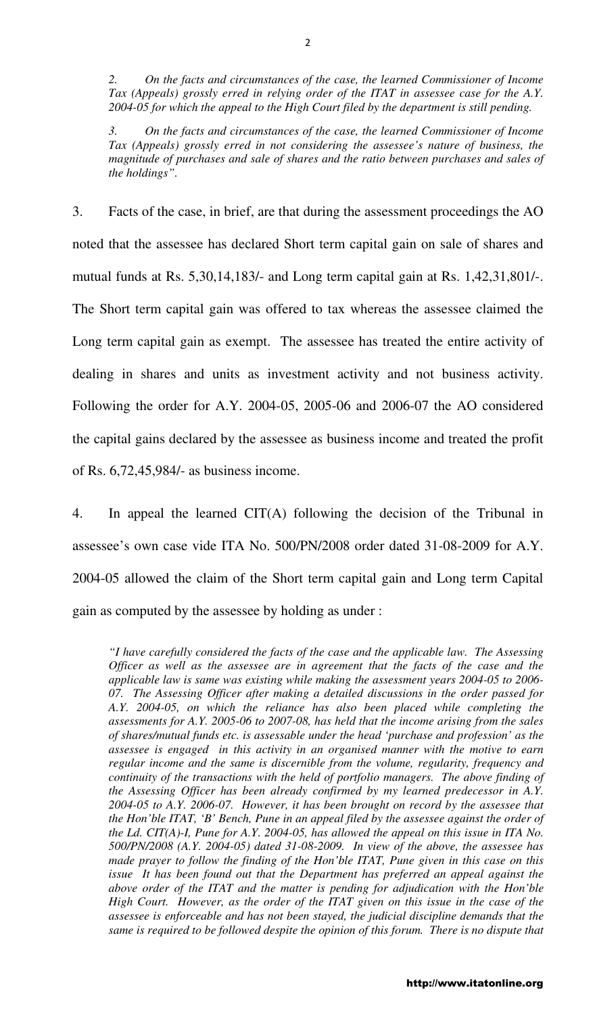*2. On the facts and circumstances of the case, the learned Commissioner of Income Tax (Appeals) grossly erred in relying order of the ITAT in assessee case for the A.Y. 2004-05 for which the appeal to the High Court filed by the department is still pending.* 

*3. On the facts and circumstances of the case, the learned Commissioner of Income Tax (Appeals) grossly erred in not considering the assessee's nature of business, the magnitude of purchases and sale of shares and the ratio between purchases and sales of the holdings".* 

3. Facts of the case, in brief, are that during the assessment proceedings the AO noted that the assessee has declared Short term capital gain on sale of shares and mutual funds at Rs. 5,30,14,183/- and Long term capital gain at Rs. 1,42,31,801/-. The Short term capital gain was offered to tax whereas the assessee claimed the Long term capital gain as exempt. The assessee has treated the entire activity of dealing in shares and units as investment activity and not business activity. Following the order for A.Y. 2004-05, 2005-06 and 2006-07 the AO considered the capital gains declared by the assessee as business income and treated the profit of Rs. 6,72,45,984/- as business income.

4. In appeal the learned CIT(A) following the decision of the Tribunal in assessee's own case vide ITA No. 500/PN/2008 order dated 31-08-2009 for A.Y. 2004-05 allowed the claim of the Short term capital gain and Long term Capital gain as computed by the assessee by holding as under :

*"I have carefully considered the facts of the case and the applicable law. The Assessing Officer as well as the assessee are in agreement that the facts of the case and the applicable law is same was existing while making the assessment years 2004-05 to 2006- 07. The Assessing Officer after making a detailed discussions in the order passed for A.Y. 2004-05, on which the reliance has also been placed while completing the assessments for A.Y. 2005-06 to 2007-08, has held that the income arising from the sales of shares/mutual funds etc. is assessable under the head 'purchase and profession' as the assessee is engaged in this activity in an organised manner with the motive to earn regular income and the same is discernible from the volume, regularity, frequency and continuity of the transactions with the held of portfolio managers. The above finding of the Assessing Officer has been already confirmed by my learned predecessor in A.Y. 2004-05 to A.Y. 2006-07. However, it has been brought on record by the assessee that the Hon'ble ITAT, 'B' Bench, Pune in an appeal filed by the assessee against the order of the Ld. CIT(A)-I, Pune for A.Y. 2004-05, has allowed the appeal on this issue in ITA No. 500/PN/2008 (A.Y. 2004-05) dated 31-08-2009. In view of the above, the assessee has made prayer to follow the finding of the Hon'ble ITAT, Pune given in this case on this issue* It has been found out that the Department has preferred an appeal against the *above order of the ITAT and the matter is pending for adjudication with the Hon'ble High Court. However, as the order of the ITAT given on this issue in the case of the assessee is enforceable and has not been stayed, the judicial discipline demands that the same is required to be followed despite the opinion of this forum. There is no dispute that*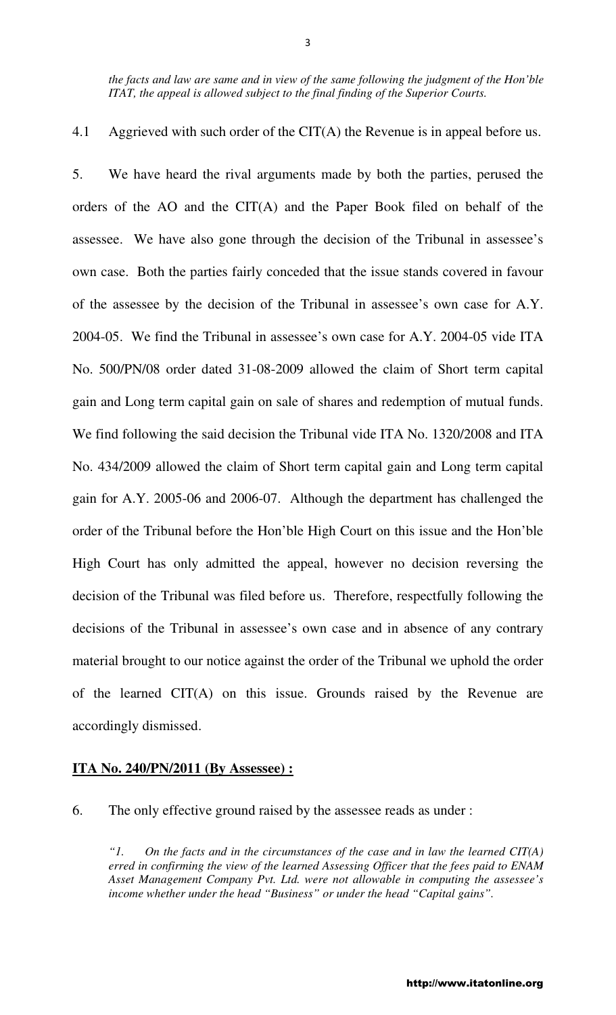*the facts and law are same and in view of the same following the judgment of the Hon'ble ITAT, the appeal is allowed subject to the final finding of the Superior Courts.* 

4.1 Aggrieved with such order of the CIT(A) the Revenue is in appeal before us.

5. We have heard the rival arguments made by both the parties, perused the orders of the AO and the CIT(A) and the Paper Book filed on behalf of the assessee. We have also gone through the decision of the Tribunal in assessee's own case. Both the parties fairly conceded that the issue stands covered in favour of the assessee by the decision of the Tribunal in assessee's own case for A.Y. 2004-05. We find the Tribunal in assessee's own case for A.Y. 2004-05 vide ITA No. 500/PN/08 order dated 31-08-2009 allowed the claim of Short term capital gain and Long term capital gain on sale of shares and redemption of mutual funds. We find following the said decision the Tribunal vide ITA No. 1320/2008 and ITA No. 434/2009 allowed the claim of Short term capital gain and Long term capital gain for A.Y. 2005-06 and 2006-07. Although the department has challenged the order of the Tribunal before the Hon'ble High Court on this issue and the Hon'ble High Court has only admitted the appeal, however no decision reversing the decision of the Tribunal was filed before us. Therefore, respectfully following the decisions of the Tribunal in assessee's own case and in absence of any contrary material brought to our notice against the order of the Tribunal we uphold the order of the learned CIT(A) on this issue. Grounds raised by the Revenue are accordingly dismissed.

### **ITA No. 240/PN/2011 (By Assessee) :**

6. The only effective ground raised by the assessee reads as under :

*"1. On the facts and in the circumstances of the case and in law the learned CIT(A) erred in confirming the view of the learned Assessing Officer that the fees paid to ENAM Asset Management Company Pvt. Ltd. were not allowable in computing the assessee's income whether under the head "Business" or under the head "Capital gains".*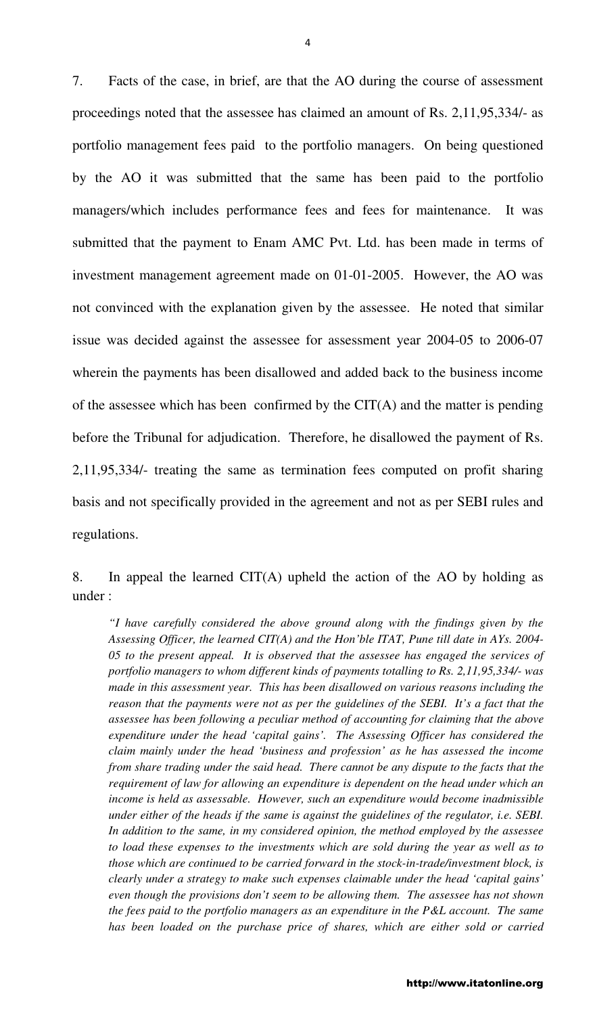7. Facts of the case, in brief, are that the AO during the course of assessment proceedings noted that the assessee has claimed an amount of Rs. 2,11,95,334/- as portfolio management fees paid to the portfolio managers. On being questioned by the AO it was submitted that the same has been paid to the portfolio managers/which includes performance fees and fees for maintenance. It was submitted that the payment to Enam AMC Pvt. Ltd. has been made in terms of investment management agreement made on 01-01-2005. However, the AO was not convinced with the explanation given by the assessee. He noted that similar issue was decided against the assessee for assessment year 2004-05 to 2006-07 wherein the payments has been disallowed and added back to the business income of the assessee which has been confirmed by the CIT(A) and the matter is pending before the Tribunal for adjudication. Therefore, he disallowed the payment of Rs. 2,11,95,334/- treating the same as termination fees computed on profit sharing basis and not specifically provided in the agreement and not as per SEBI rules and regulations.

8. In appeal the learned CIT(A) upheld the action of the AO by holding as under :

*"I have carefully considered the above ground along with the findings given by the Assessing Officer, the learned CIT(A) and the Hon'ble ITAT, Pune till date in AYs. 2004- 05 to the present appeal. It is observed that the assessee has engaged the services of portfolio managers to whom different kinds of payments totalling to Rs. 2,11,95,334/- was made in this assessment year. This has been disallowed on various reasons including the reason that the payments were not as per the guidelines of the SEBI. It's a fact that the assessee has been following a peculiar method of accounting for claiming that the above expenditure under the head 'capital gains'. The Assessing Officer has considered the claim mainly under the head 'business and profession' as he has assessed the income from share trading under the said head. There cannot be any dispute to the facts that the requirement of law for allowing an expenditure is dependent on the head under which an income is held as assessable. However, such an expenditure would become inadmissible under either of the heads if the same is against the guidelines of the regulator, i.e. SEBI. In addition to the same, in my considered opinion, the method employed by the assessee*  to load these expenses to the investments which are sold during the year as well as to *those which are continued to be carried forward in the stock-in-trade/investment block, is clearly under a strategy to make such expenses claimable under the head 'capital gains' even though the provisions don't seem to be allowing them. The assessee has not shown the fees paid to the portfolio managers as an expenditure in the P&L account. The same*  has been loaded on the purchase price of shares, which are either sold or carried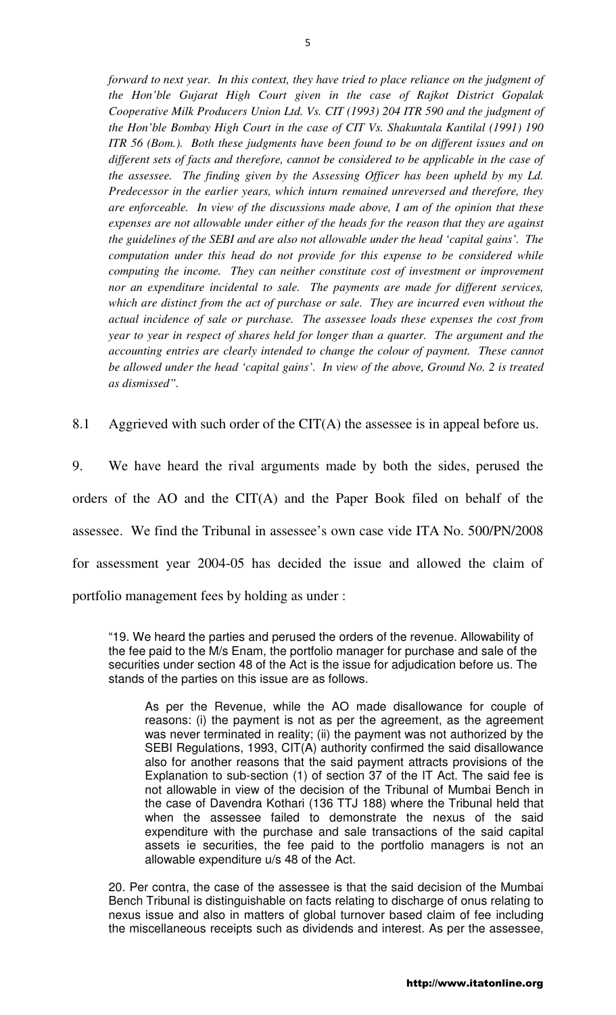*forward to next year. In this context, they have tried to place reliance on the judgment of the Hon'ble Gujarat High Court given in the case of Rajkot District Gopalak Cooperative Milk Producers Union Ltd. Vs. CIT (1993) 204 ITR 590 and the judgment of the Hon'ble Bombay High Court in the case of CIT Vs. Shakuntala Kantilal (1991) 190 ITR 56 (Bom.). Both these judgments have been found to be on different issues and on different sets of facts and therefore, cannot be considered to be applicable in the case of the assessee. The finding given by the Assessing Officer has been upheld by my Ld. Predecessor in the earlier years, which inturn remained unreversed and therefore, they are enforceable. In view of the discussions made above, I am of the opinion that these expenses are not allowable under either of the heads for the reason that they are against the guidelines of the SEBI and are also not allowable under the head 'capital gains'. The computation under this head do not provide for this expense to be considered while computing the income. They can neither constitute cost of investment or improvement* nor an expenditure incidental to sale. The payments are made for different services, *which are distinct from the act of purchase or sale. They are incurred even without the actual incidence of sale or purchase. The assessee loads these expenses the cost from year to year in respect of shares held for longer than a quarter. The argument and the accounting entries are clearly intended to change the colour of payment. These cannot be allowed under the head 'capital gains'. In view of the above, Ground No. 2 is treated as dismissed".* 

8.1 Aggrieved with such order of the CIT(A) the assessee is in appeal before us.

9. We have heard the rival arguments made by both the sides, perused the orders of the AO and the CIT(A) and the Paper Book filed on behalf of the assessee. We find the Tribunal in assessee's own case vide ITA No. 500/PN/2008 for assessment year 2004-05 has decided the issue and allowed the claim of portfolio management fees by holding as under :

"19. We heard the parties and perused the orders of the revenue. Allowability of the fee paid to the M/s Enam, the portfolio manager for purchase and sale of the securities under section 48 of the Act is the issue for adjudication before us. The stands of the parties on this issue are as follows.

As per the Revenue, while the AO made disallowance for couple of reasons: (i) the payment is not as per the agreement, as the agreement was never terminated in reality; (ii) the payment was not authorized by the SEBI Regulations, 1993, CIT(A) authority confirmed the said disallowance also for another reasons that the said payment attracts provisions of the Explanation to sub-section (1) of section 37 of the IT Act. The said fee is not allowable in view of the decision of the Tribunal of Mumbai Bench in the case of Davendra Kothari (136 TTJ 188) where the Tribunal held that when the assessee failed to demonstrate the nexus of the said expenditure with the purchase and sale transactions of the said capital assets ie securities, the fee paid to the portfolio managers is not an allowable expenditure u/s 48 of the Act.

20. Per contra, the case of the assessee is that the said decision of the Mumbai Bench Tribunal is distinguishable on facts relating to discharge of onus relating to nexus issue and also in matters of global turnover based claim of fee including the miscellaneous receipts such as dividends and interest. As per the assessee,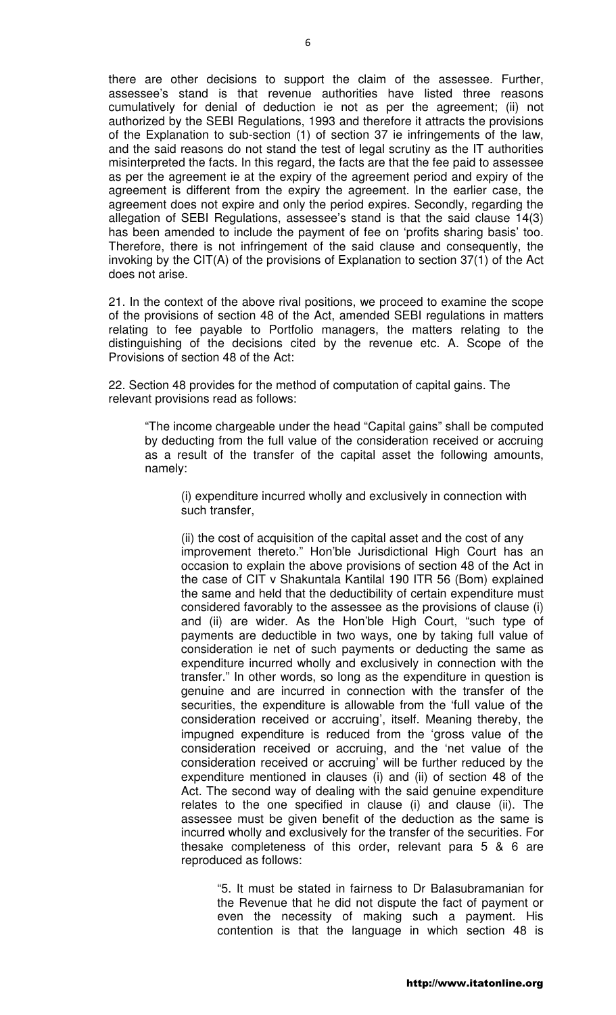there are other decisions to support the claim of the assessee. Further, assessee's stand is that revenue authorities have listed three reasons cumulatively for denial of deduction ie not as per the agreement; (ii) not authorized by the SEBI Regulations, 1993 and therefore it attracts the provisions of the Explanation to sub-section (1) of section 37 ie infringements of the law, and the said reasons do not stand the test of legal scrutiny as the IT authorities misinterpreted the facts. In this regard, the facts are that the fee paid to assessee as per the agreement ie at the expiry of the agreement period and expiry of the agreement is different from the expiry the agreement. In the earlier case, the agreement does not expire and only the period expires. Secondly, regarding the allegation of SEBI Regulations, assessee's stand is that the said clause 14(3) has been amended to include the payment of fee on 'profits sharing basis' too. Therefore, there is not infringement of the said clause and consequently, the invoking by the CIT(A) of the provisions of Explanation to section 37(1) of the Act does not arise.

21. In the context of the above rival positions, we proceed to examine the scope of the provisions of section 48 of the Act, amended SEBI regulations in matters relating to fee payable to Portfolio managers, the matters relating to the distinguishing of the decisions cited by the revenue etc. A. Scope of the Provisions of section 48 of the Act:

22. Section 48 provides for the method of computation of capital gains. The relevant provisions read as follows:

"The income chargeable under the head "Capital gains" shall be computed by deducting from the full value of the consideration received or accruing as a result of the transfer of the capital asset the following amounts, namely:

(i) expenditure incurred wholly and exclusively in connection with such transfer,

(ii) the cost of acquisition of the capital asset and the cost of any improvement thereto." Hon'ble Jurisdictional High Court has an occasion to explain the above provisions of section 48 of the Act in the case of CIT v Shakuntala Kantilal 190 ITR 56 (Bom) explained the same and held that the deductibility of certain expenditure must considered favorably to the assessee as the provisions of clause (i) and (ii) are wider. As the Hon'ble High Court, "such type of payments are deductible in two ways, one by taking full value of consideration ie net of such payments or deducting the same as expenditure incurred wholly and exclusively in connection with the transfer." In other words, so long as the expenditure in question is genuine and are incurred in connection with the transfer of the securities, the expenditure is allowable from the 'full value of the consideration received or accruing', itself. Meaning thereby, the impugned expenditure is reduced from the 'gross value of the consideration received or accruing, and the 'net value of the consideration received or accruing' will be further reduced by the expenditure mentioned in clauses (i) and (ii) of section 48 of the Act. The second way of dealing with the said genuine expenditure relates to the one specified in clause (i) and clause (ii). The assessee must be given benefit of the deduction as the same is incurred wholly and exclusively for the transfer of the securities. For thesake completeness of this order, relevant para 5 & 6 are reproduced as follows:

"5. It must be stated in fairness to Dr Balasubramanian for the Revenue that he did not dispute the fact of payment or even the necessity of making such a payment. His contention is that the language in which section 48 is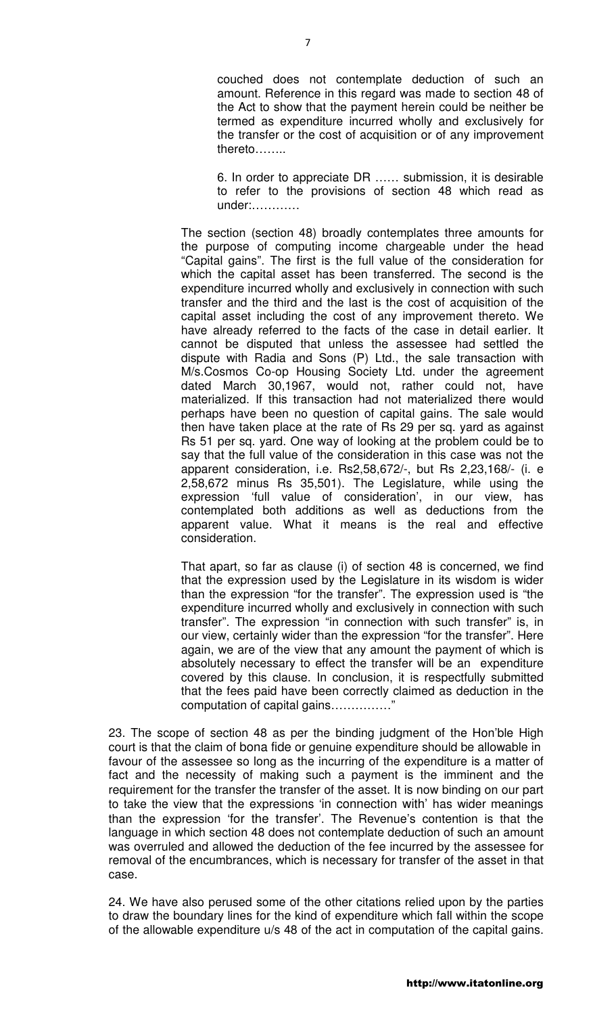couched does not contemplate deduction of such an amount. Reference in this regard was made to section 48 of the Act to show that the payment herein could be neither be termed as expenditure incurred wholly and exclusively for the transfer or the cost of acquisition or of any improvement thereto……..

6. In order to appreciate DR …… submission, it is desirable to refer to the provisions of section 48 which read as under:…………

The section (section 48) broadly contemplates three amounts for the purpose of computing income chargeable under the head "Capital gains". The first is the full value of the consideration for which the capital asset has been transferred. The second is the expenditure incurred wholly and exclusively in connection with such transfer and the third and the last is the cost of acquisition of the capital asset including the cost of any improvement thereto. We have already referred to the facts of the case in detail earlier. It cannot be disputed that unless the assessee had settled the dispute with Radia and Sons (P) Ltd., the sale transaction with M/s.Cosmos Co-op Housing Society Ltd. under the agreement dated March 30,1967, would not, rather could not, have materialized. If this transaction had not materialized there would perhaps have been no question of capital gains. The sale would then have taken place at the rate of Rs 29 per sq. yard as against Rs 51 per sq. yard. One way of looking at the problem could be to say that the full value of the consideration in this case was not the apparent consideration, i.e. Rs2,58,672/-, but Rs 2,23,168/- (i. e 2,58,672 minus Rs 35,501). The Legislature, while using the expression 'full value of consideration', in our view, has contemplated both additions as well as deductions from the apparent value. What it means is the real and effective consideration.

That apart, so far as clause (i) of section 48 is concerned, we find that the expression used by the Legislature in its wisdom is wider than the expression "for the transfer". The expression used is "the expenditure incurred wholly and exclusively in connection with such transfer". The expression "in connection with such transfer" is, in our view, certainly wider than the expression "for the transfer". Here again, we are of the view that any amount the payment of which is absolutely necessary to effect the transfer will be an expenditure covered by this clause. In conclusion, it is respectfully submitted that the fees paid have been correctly claimed as deduction in the computation of capital gains……………"

23. The scope of section 48 as per the binding judgment of the Hon'ble High court is that the claim of bona fide or genuine expenditure should be allowable in favour of the assessee so long as the incurring of the expenditure is a matter of fact and the necessity of making such a payment is the imminent and the requirement for the transfer the transfer of the asset. It is now binding on our part to take the view that the expressions 'in connection with' has wider meanings than the expression 'for the transfer'. The Revenue's contention is that the language in which section 48 does not contemplate deduction of such an amount was overruled and allowed the deduction of the fee incurred by the assessee for removal of the encumbrances, which is necessary for transfer of the asset in that case.

24. We have also perused some of the other citations relied upon by the parties to draw the boundary lines for the kind of expenditure which fall within the scope of the allowable expenditure u/s 48 of the act in computation of the capital gains.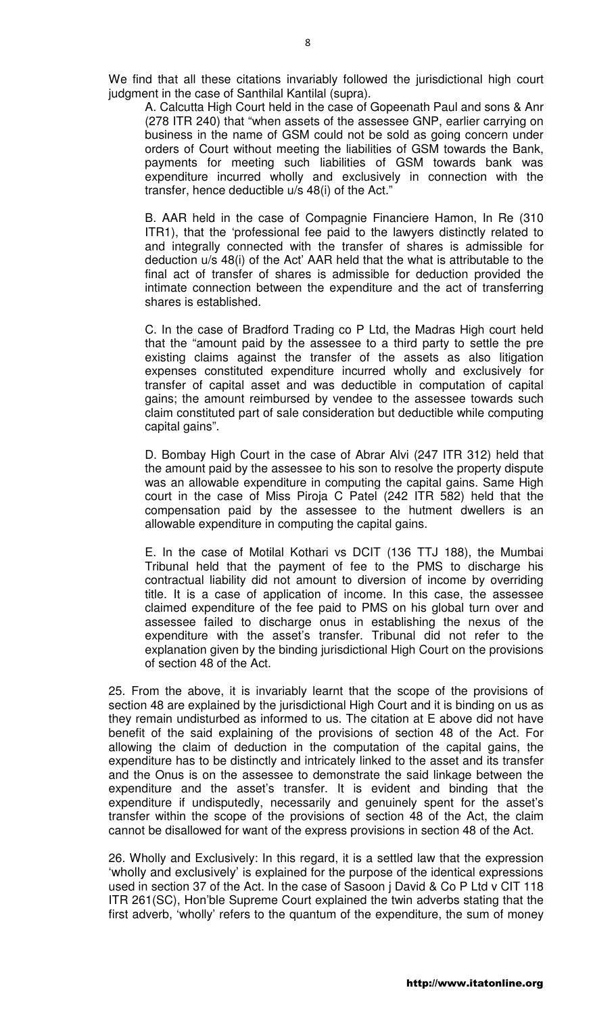We find that all these citations invariably followed the jurisdictional high court judgment in the case of Santhilal Kantilal (supra).

A. Calcutta High Court held in the case of Gopeenath Paul and sons & Anr (278 ITR 240) that "when assets of the assessee GNP, earlier carrying on business in the name of GSM could not be sold as going concern under orders of Court without meeting the liabilities of GSM towards the Bank, payments for meeting such liabilities of GSM towards bank was expenditure incurred wholly and exclusively in connection with the transfer, hence deductible u/s 48(i) of the Act."

B. AAR held in the case of Compagnie Financiere Hamon, In Re (310 ITR1), that the 'professional fee paid to the lawyers distinctly related to and integrally connected with the transfer of shares is admissible for deduction u/s 48(i) of the Act' AAR held that the what is attributable to the final act of transfer of shares is admissible for deduction provided the intimate connection between the expenditure and the act of transferring shares is established.

C. In the case of Bradford Trading co P Ltd, the Madras High court held that the "amount paid by the assessee to a third party to settle the pre existing claims against the transfer of the assets as also litigation expenses constituted expenditure incurred wholly and exclusively for transfer of capital asset and was deductible in computation of capital gains; the amount reimbursed by vendee to the assessee towards such claim constituted part of sale consideration but deductible while computing capital gains".

D. Bombay High Court in the case of Abrar Alvi (247 ITR 312) held that the amount paid by the assessee to his son to resolve the property dispute was an allowable expenditure in computing the capital gains. Same High court in the case of Miss Piroja C Patel (242 ITR 582) held that the compensation paid by the assessee to the hutment dwellers is an allowable expenditure in computing the capital gains.

E. In the case of Motilal Kothari vs DCIT (136 TTJ 188), the Mumbai Tribunal held that the payment of fee to the PMS to discharge his contractual liability did not amount to diversion of income by overriding title. It is a case of application of income. In this case, the assessee claimed expenditure of the fee paid to PMS on his global turn over and assessee failed to discharge onus in establishing the nexus of the expenditure with the asset's transfer. Tribunal did not refer to the explanation given by the binding jurisdictional High Court on the provisions of section 48 of the Act.

25. From the above, it is invariably learnt that the scope of the provisions of section 48 are explained by the jurisdictional High Court and it is binding on us as they remain undisturbed as informed to us. The citation at E above did not have benefit of the said explaining of the provisions of section 48 of the Act. For allowing the claim of deduction in the computation of the capital gains, the expenditure has to be distinctly and intricately linked to the asset and its transfer and the Onus is on the assessee to demonstrate the said linkage between the expenditure and the asset's transfer. It is evident and binding that the expenditure if undisputedly, necessarily and genuinely spent for the asset's transfer within the scope of the provisions of section 48 of the Act, the claim cannot be disallowed for want of the express provisions in section 48 of the Act.

26. Wholly and Exclusively: In this regard, it is a settled law that the expression 'wholly and exclusively' is explained for the purpose of the identical expressions used in section 37 of the Act. In the case of Sasoon j David & Co P Ltd v CIT 118 ITR 261(SC), Hon'ble Supreme Court explained the twin adverbs stating that the first adverb, 'wholly' refers to the quantum of the expenditure, the sum of money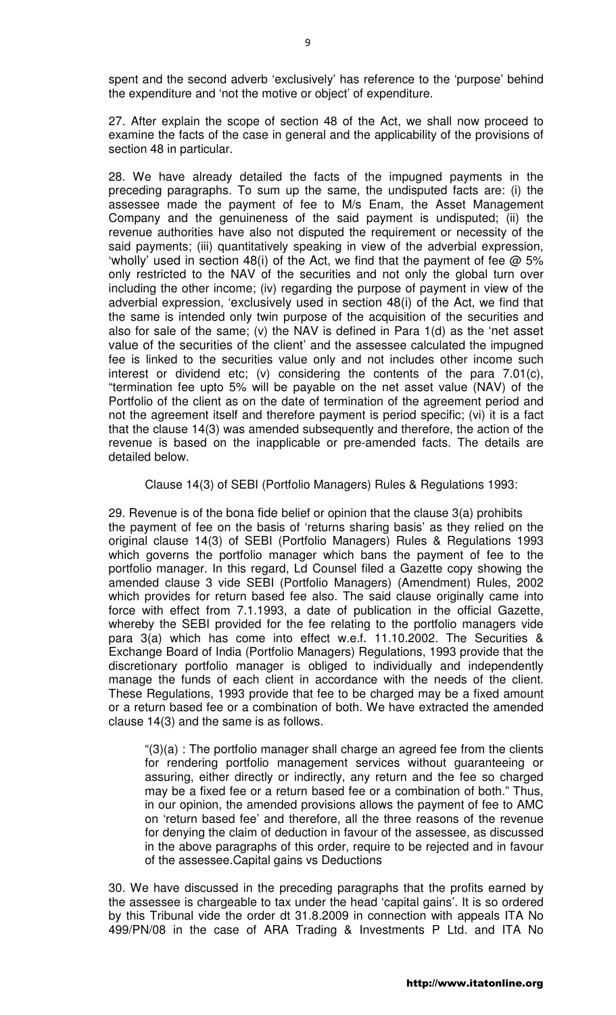spent and the second adverb 'exclusively' has reference to the 'purpose' behind the expenditure and 'not the motive or object' of expenditure.

27. After explain the scope of section 48 of the Act, we shall now proceed to examine the facts of the case in general and the applicability of the provisions of section 48 in particular.

28. We have already detailed the facts of the impugned payments in the preceding paragraphs. To sum up the same, the undisputed facts are: (i) the assessee made the payment of fee to M/s Enam, the Asset Management Company and the genuineness of the said payment is undisputed; (ii) the revenue authorities have also not disputed the requirement or necessity of the said payments; (iii) quantitatively speaking in view of the adverbial expression, 'wholly' used in section 48(i) of the Act, we find that the payment of fee  $\omega$  5% only restricted to the NAV of the securities and not only the global turn over including the other income; (iv) regarding the purpose of payment in view of the adverbial expression, 'exclusively used in section 48(i) of the Act, we find that the same is intended only twin purpose of the acquisition of the securities and also for sale of the same; (v) the NAV is defined in Para 1(d) as the 'net asset value of the securities of the client' and the assessee calculated the impugned fee is linked to the securities value only and not includes other income such interest or dividend etc; (v) considering the contents of the para 7.01(c), "termination fee upto 5% will be payable on the net asset value (NAV) of the Portfolio of the client as on the date of termination of the agreement period and not the agreement itself and therefore payment is period specific; (vi) it is a fact that the clause 14(3) was amended subsequently and therefore, the action of the revenue is based on the inapplicable or pre-amended facts. The details are detailed below.

Clause 14(3) of SEBI (Portfolio Managers) Rules & Regulations 1993:

29. Revenue is of the bona fide belief or opinion that the clause 3(a) prohibits the payment of fee on the basis of 'returns sharing basis' as they relied on the original clause 14(3) of SEBI (Portfolio Managers) Rules & Regulations 1993 which governs the portfolio manager which bans the payment of fee to the portfolio manager. In this regard, Ld Counsel filed a Gazette copy showing the amended clause 3 vide SEBI (Portfolio Managers) (Amendment) Rules, 2002 which provides for return based fee also. The said clause originally came into force with effect from 7.1.1993, a date of publication in the official Gazette, whereby the SEBI provided for the fee relating to the portfolio managers vide para 3(a) which has come into effect w.e.f. 11.10.2002. The Securities & Exchange Board of India (Portfolio Managers) Regulations, 1993 provide that the discretionary portfolio manager is obliged to individually and independently manage the funds of each client in accordance with the needs of the client. These Regulations, 1993 provide that fee to be charged may be a fixed amount or a return based fee or a combination of both. We have extracted the amended clause 14(3) and the same is as follows.

"(3)(a) : The portfolio manager shall charge an agreed fee from the clients for rendering portfolio management services without guaranteeing or assuring, either directly or indirectly, any return and the fee so charged may be a fixed fee or a return based fee or a combination of both." Thus, in our opinion, the amended provisions allows the payment of fee to AMC on 'return based fee' and therefore, all the three reasons of the revenue for denying the claim of deduction in favour of the assessee, as discussed in the above paragraphs of this order, require to be rejected and in favour of the assessee.Capital gains vs Deductions

30. We have discussed in the preceding paragraphs that the profits earned by the assessee is chargeable to tax under the head 'capital gains'. It is so ordered by this Tribunal vide the order dt 31.8.2009 in connection with appeals ITA No 499/PN/08 in the case of ARA Trading & Investments P Ltd. and ITA No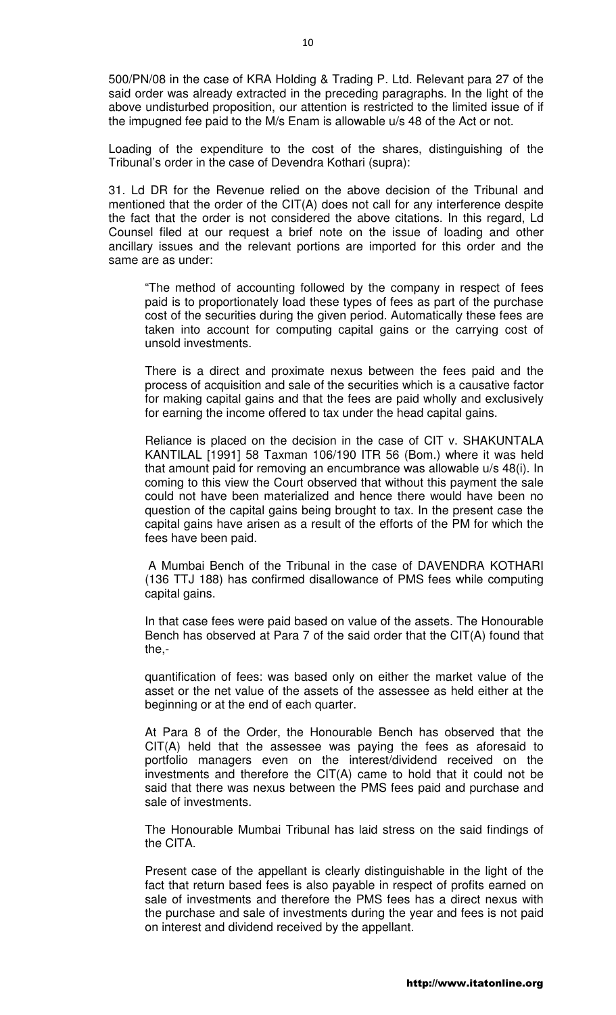500/PN/08 in the case of KRA Holding & Trading P. Ltd. Relevant para 27 of the said order was already extracted in the preceding paragraphs. In the light of the above undisturbed proposition, our attention is restricted to the limited issue of if the impugned fee paid to the M/s Enam is allowable u/s 48 of the Act or not.

Loading of the expenditure to the cost of the shares, distinguishing of the Tribunal's order in the case of Devendra Kothari (supra):

31. Ld DR for the Revenue relied on the above decision of the Tribunal and mentioned that the order of the CIT(A) does not call for any interference despite the fact that the order is not considered the above citations. In this regard, Ld Counsel filed at our request a brief note on the issue of loading and other ancillary issues and the relevant portions are imported for this order and the same are as under:

"The method of accounting followed by the company in respect of fees paid is to proportionately load these types of fees as part of the purchase cost of the securities during the given period. Automatically these fees are taken into account for computing capital gains or the carrying cost of unsold investments.

There is a direct and proximate nexus between the fees paid and the process of acquisition and sale of the securities which is a causative factor for making capital gains and that the fees are paid wholly and exclusively for earning the income offered to tax under the head capital gains.

Reliance is placed on the decision in the case of CIT v. SHAKUNTALA KANTILAL [1991] 58 Taxman 106/190 ITR 56 (Bom.) where it was held that amount paid for removing an encumbrance was allowable u/s 48(i). In coming to this view the Court observed that without this payment the sale could not have been materialized and hence there would have been no question of the capital gains being brought to tax. In the present case the capital gains have arisen as a result of the efforts of the PM for which the fees have been paid.

 A Mumbai Bench of the Tribunal in the case of DAVENDRA KOTHARI (136 TTJ 188) has confirmed disallowance of PMS fees while computing capital gains.

In that case fees were paid based on value of the assets. The Honourable Bench has observed at Para 7 of the said order that the CIT(A) found that the,-

quantification of fees: was based only on either the market value of the asset or the net value of the assets of the assessee as held either at the beginning or at the end of each quarter.

At Para 8 of the Order, the Honourable Bench has observed that the CIT(A) held that the assessee was paying the fees as aforesaid to portfolio managers even on the interest/dividend received on the investments and therefore the CIT(A) came to hold that it could not be said that there was nexus between the PMS fees paid and purchase and sale of investments.

The Honourable Mumbai Tribunal has laid stress on the said findings of the CITA.

Present case of the appellant is clearly distinguishable in the light of the fact that return based fees is also payable in respect of profits earned on sale of investments and therefore the PMS fees has a direct nexus with the purchase and sale of investments during the year and fees is not paid on interest and dividend received by the appellant.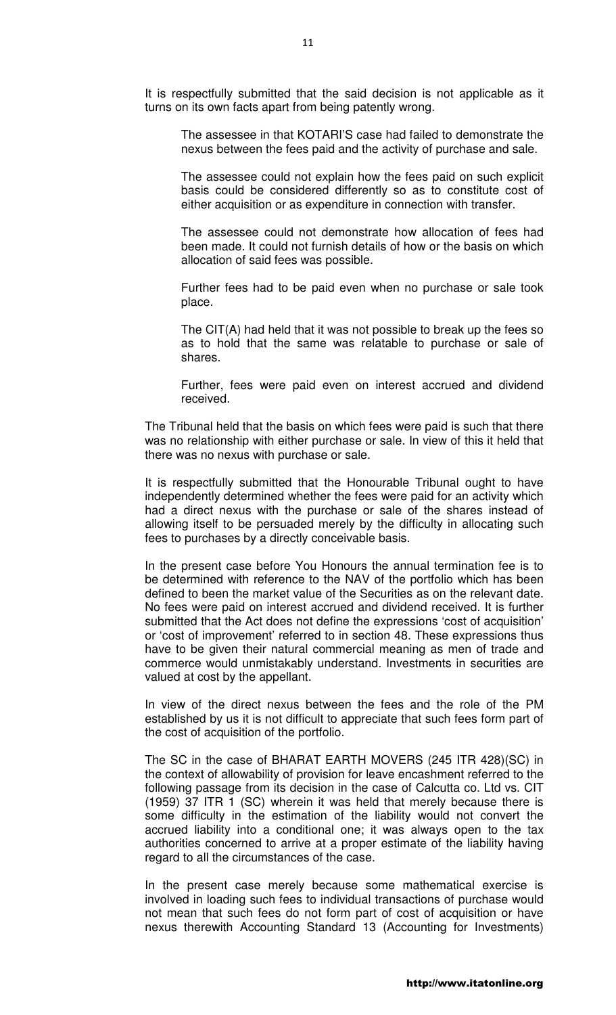It is respectfully submitted that the said decision is not applicable as it turns on its own facts apart from being patently wrong.

The assessee in that KOTARI'S case had failed to demonstrate the nexus between the fees paid and the activity of purchase and sale.

The assessee could not explain how the fees paid on such explicit basis could be considered differently so as to constitute cost of either acquisition or as expenditure in connection with transfer.

The assessee could not demonstrate how allocation of fees had been made. It could not furnish details of how or the basis on which allocation of said fees was possible.

Further fees had to be paid even when no purchase or sale took place.

The CIT(A) had held that it was not possible to break up the fees so as to hold that the same was relatable to purchase or sale of shares.

Further, fees were paid even on interest accrued and dividend received.

The Tribunal held that the basis on which fees were paid is such that there was no relationship with either purchase or sale. In view of this it held that there was no nexus with purchase or sale.

It is respectfully submitted that the Honourable Tribunal ought to have independently determined whether the fees were paid for an activity which had a direct nexus with the purchase or sale of the shares instead of allowing itself to be persuaded merely by the difficulty in allocating such fees to purchases by a directly conceivable basis.

In the present case before You Honours the annual termination fee is to be determined with reference to the NAV of the portfolio which has been defined to been the market value of the Securities as on the relevant date. No fees were paid on interest accrued and dividend received. It is further submitted that the Act does not define the expressions 'cost of acquisition' or 'cost of improvement' referred to in section 48. These expressions thus have to be given their natural commercial meaning as men of trade and commerce would unmistakably understand. Investments in securities are valued at cost by the appellant.

In view of the direct nexus between the fees and the role of the PM established by us it is not difficult to appreciate that such fees form part of the cost of acquisition of the portfolio.

The SC in the case of BHARAT EARTH MOVERS (245 ITR 428)(SC) in the context of allowability of provision for leave encashment referred to the following passage from its decision in the case of Calcutta co. Ltd vs. CIT (1959) 37 ITR 1 (SC) wherein it was held that merely because there is some difficulty in the estimation of the liability would not convert the accrued liability into a conditional one; it was always open to the tax authorities concerned to arrive at a proper estimate of the liability having regard to all the circumstances of the case.

In the present case merely because some mathematical exercise is involved in loading such fees to individual transactions of purchase would not mean that such fees do not form part of cost of acquisition or have nexus therewith Accounting Standard 13 (Accounting for Investments)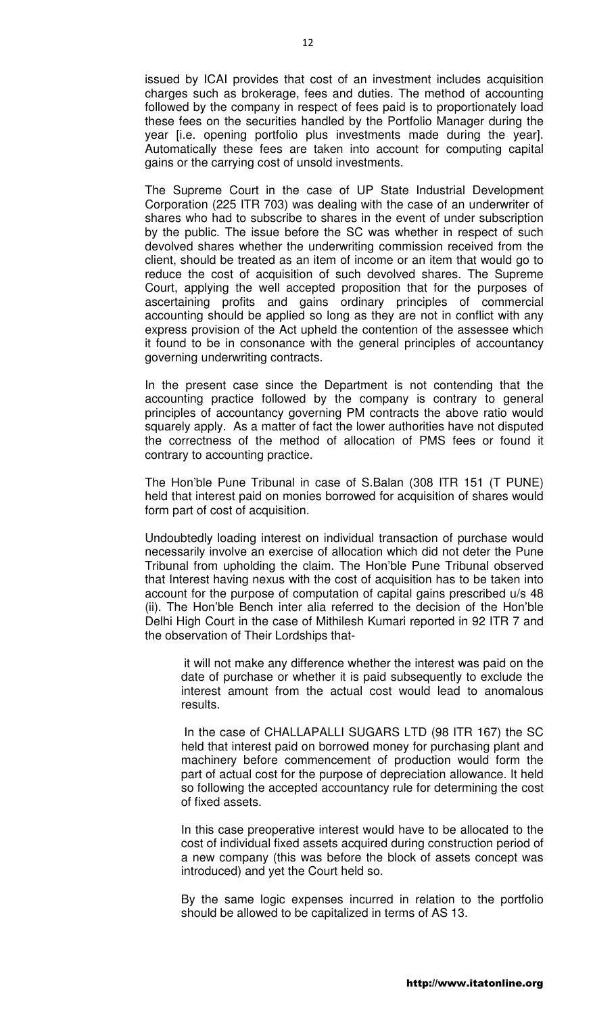issued by ICAI provides that cost of an investment includes acquisition charges such as brokerage, fees and duties. The method of accounting followed by the company in respect of fees paid is to proportionately load these fees on the securities handled by the Portfolio Manager during the year [i.e. opening portfolio plus investments made during the year]. Automatically these fees are taken into account for computing capital gains or the carrying cost of unsold investments.

The Supreme Court in the case of UP State Industrial Development Corporation (225 ITR 703) was dealing with the case of an underwriter of shares who had to subscribe to shares in the event of under subscription by the public. The issue before the SC was whether in respect of such devolved shares whether the underwriting commission received from the client, should be treated as an item of income or an item that would go to reduce the cost of acquisition of such devolved shares. The Supreme Court, applying the well accepted proposition that for the purposes of ascertaining profits and gains ordinary principles of commercial accounting should be applied so long as they are not in conflict with any express provision of the Act upheld the contention of the assessee which it found to be in consonance with the general principles of accountancy governing underwriting contracts.

In the present case since the Department is not contending that the accounting practice followed by the company is contrary to general principles of accountancy governing PM contracts the above ratio would squarely apply. As a matter of fact the lower authorities have not disputed the correctness of the method of allocation of PMS fees or found it contrary to accounting practice.

The Hon'ble Pune Tribunal in case of S.Balan (308 ITR 151 (T PUNE) held that interest paid on monies borrowed for acquisition of shares would form part of cost of acquisition.

Undoubtedly loading interest on individual transaction of purchase would necessarily involve an exercise of allocation which did not deter the Pune Tribunal from upholding the claim. The Hon'ble Pune Tribunal observed that Interest having nexus with the cost of acquisition has to be taken into account for the purpose of computation of capital gains prescribed u/s 48 (ii). The Hon'ble Bench inter alia referred to the decision of the Hon'ble Delhi High Court in the case of Mithilesh Kumari reported in 92 ITR 7 and the observation of Their Lordships that-

it will not make any difference whether the interest was paid on the date of purchase or whether it is paid subsequently to exclude the interest amount from the actual cost would lead to anomalous results.

In the case of CHALLAPALLI SUGARS LTD (98 ITR 167) the SC held that interest paid on borrowed money for purchasing plant and machinery before commencement of production would form the part of actual cost for the purpose of depreciation allowance. It held so following the accepted accountancy rule for determining the cost of fixed assets.

In this case preoperative interest would have to be allocated to the cost of individual fixed assets acquired during construction period of a new company (this was before the block of assets concept was introduced) and yet the Court held so.

By the same logic expenses incurred in relation to the portfolio should be allowed to be capitalized in terms of AS 13.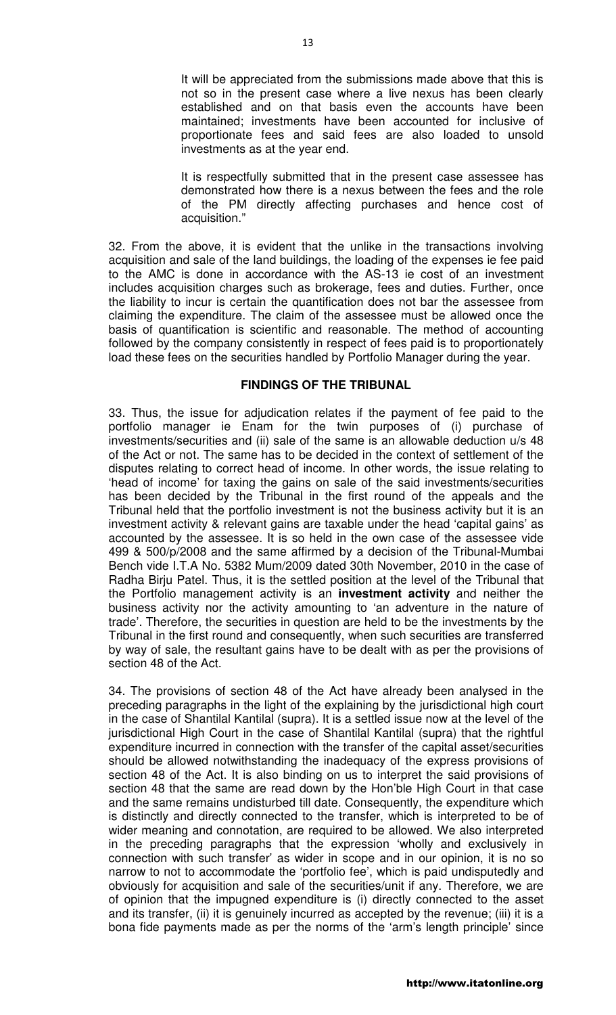It will be appreciated from the submissions made above that this is not so in the present case where a live nexus has been clearly established and on that basis even the accounts have been maintained; investments have been accounted for inclusive of proportionate fees and said fees are also loaded to unsold investments as at the year end.

It is respectfully submitted that in the present case assessee has demonstrated how there is a nexus between the fees and the role of the PM directly affecting purchases and hence cost of acquisition."

32. From the above, it is evident that the unlike in the transactions involving acquisition and sale of the land buildings, the loading of the expenses ie fee paid to the AMC is done in accordance with the AS-13 ie cost of an investment includes acquisition charges such as brokerage, fees and duties. Further, once the liability to incur is certain the quantification does not bar the assessee from claiming the expenditure. The claim of the assessee must be allowed once the basis of quantification is scientific and reasonable. The method of accounting followed by the company consistently in respect of fees paid is to proportionately load these fees on the securities handled by Portfolio Manager during the year.

#### **FINDINGS OF THE TRIBUNAL**

33. Thus, the issue for adjudication relates if the payment of fee paid to the portfolio manager ie Enam for the twin purposes of (i) purchase of investments/securities and (ii) sale of the same is an allowable deduction u/s 48 of the Act or not. The same has to be decided in the context of settlement of the disputes relating to correct head of income. In other words, the issue relating to 'head of income' for taxing the gains on sale of the said investments/securities has been decided by the Tribunal in the first round of the appeals and the Tribunal held that the portfolio investment is not the business activity but it is an investment activity & relevant gains are taxable under the head 'capital gains' as accounted by the assessee. It is so held in the own case of the assessee vide 499 & 500/p/2008 and the same affirmed by a decision of the Tribunal-Mumbai Bench vide I.T.A No. 5382 Mum/2009 dated 30th November, 2010 in the case of Radha Birju Patel. Thus, it is the settled position at the level of the Tribunal that the Portfolio management activity is an **investment activity** and neither the business activity nor the activity amounting to 'an adventure in the nature of trade'. Therefore, the securities in question are held to be the investments by the Tribunal in the first round and consequently, when such securities are transferred by way of sale, the resultant gains have to be dealt with as per the provisions of section 48 of the Act.

34. The provisions of section 48 of the Act have already been analysed in the preceding paragraphs in the light of the explaining by the jurisdictional high court in the case of Shantilal Kantilal (supra). It is a settled issue now at the level of the jurisdictional High Court in the case of Shantilal Kantilal (supra) that the rightful expenditure incurred in connection with the transfer of the capital asset/securities should be allowed notwithstanding the inadequacy of the express provisions of section 48 of the Act. It is also binding on us to interpret the said provisions of section 48 that the same are read down by the Hon'ble High Court in that case and the same remains undisturbed till date. Consequently, the expenditure which is distinctly and directly connected to the transfer, which is interpreted to be of wider meaning and connotation, are required to be allowed. We also interpreted in the preceding paragraphs that the expression 'wholly and exclusively in connection with such transfer' as wider in scope and in our opinion, it is no so narrow to not to accommodate the 'portfolio fee', which is paid undisputedly and obviously for acquisition and sale of the securities/unit if any. Therefore, we are of opinion that the impugned expenditure is (i) directly connected to the asset and its transfer, (ii) it is genuinely incurred as accepted by the revenue; (iii) it is a bona fide payments made as per the norms of the 'arm's length principle' since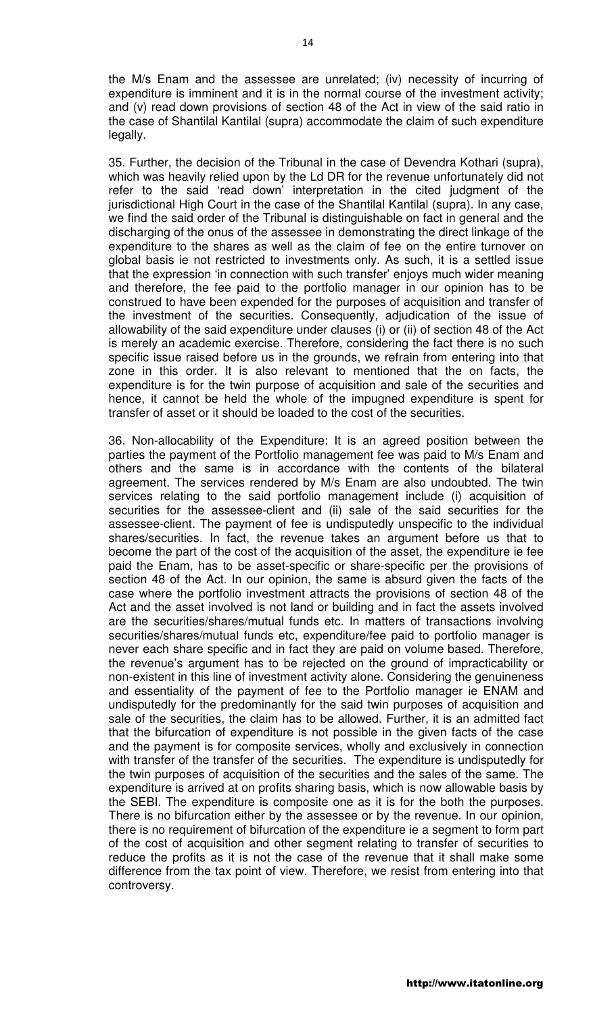the M/s Enam and the assessee are unrelated; (iv) necessity of incurring of expenditure is imminent and it is in the normal course of the investment activity; and (v) read down provisions of section 48 of the Act in view of the said ratio in the case of Shantilal Kantilal (supra) accommodate the claim of such expenditure legally.

35. Further, the decision of the Tribunal in the case of Devendra Kothari (supra), which was heavily relied upon by the Ld DR for the revenue unfortunately did not refer to the said 'read down' interpretation in the cited judgment of the jurisdictional High Court in the case of the Shantilal Kantilal (supra). In any case, we find the said order of the Tribunal is distinguishable on fact in general and the discharging of the onus of the assessee in demonstrating the direct linkage of the expenditure to the shares as well as the claim of fee on the entire turnover on global basis ie not restricted to investments only. As such, it is a settled issue that the expression 'in connection with such transfer' enjoys much wider meaning and therefore, the fee paid to the portfolio manager in our opinion has to be construed to have been expended for the purposes of acquisition and transfer of the investment of the securities. Consequently, adjudication of the issue of allowability of the said expenditure under clauses (i) or (ii) of section 48 of the Act is merely an academic exercise. Therefore, considering the fact there is no such specific issue raised before us in the grounds, we refrain from entering into that zone in this order. It is also relevant to mentioned that the on facts, the expenditure is for the twin purpose of acquisition and sale of the securities and hence, it cannot be held the whole of the impugned expenditure is spent for transfer of asset or it should be loaded to the cost of the securities.

36. Non-allocability of the Expenditure: It is an agreed position between the parties the payment of the Portfolio management fee was paid to M/s Enam and others and the same is in accordance with the contents of the bilateral agreement. The services rendered by M/s Enam are also undoubted. The twin services relating to the said portfolio management include (i) acquisition of securities for the assessee-client and (ii) sale of the said securities for the assessee-client. The payment of fee is undisputedly unspecific to the individual shares/securities. In fact, the revenue takes an argument before us that to become the part of the cost of the acquisition of the asset, the expenditure ie fee paid the Enam, has to be asset-specific or share-specific per the provisions of section 48 of the Act. In our opinion, the same is absurd given the facts of the case where the portfolio investment attracts the provisions of section 48 of the Act and the asset involved is not land or building and in fact the assets involved are the securities/shares/mutual funds etc. In matters of transactions involving securities/shares/mutual funds etc, expenditure/fee paid to portfolio manager is never each share specific and in fact they are paid on volume based. Therefore, the revenue's argument has to be rejected on the ground of impracticability or non-existent in this line of investment activity alone. Considering the genuineness and essentiality of the payment of fee to the Portfolio manager ie ENAM and undisputedly for the predominantly for the said twin purposes of acquisition and sale of the securities, the claim has to be allowed. Further, it is an admitted fact that the bifurcation of expenditure is not possible in the given facts of the case and the payment is for composite services, wholly and exclusively in connection with transfer of the transfer of the securities. The expenditure is undisputedly for the twin purposes of acquisition of the securities and the sales of the same. The expenditure is arrived at on profits sharing basis, which is now allowable basis by the SEBI. The expenditure is composite one as it is for the both the purposes. There is no bifurcation either by the assessee or by the revenue. In our opinion, there is no requirement of bifurcation of the expenditure ie a segment to form part of the cost of acquisition and other segment relating to transfer of securities to reduce the profits as it is not the case of the revenue that it shall make some difference from the tax point of view. Therefore, we resist from entering into that controversy.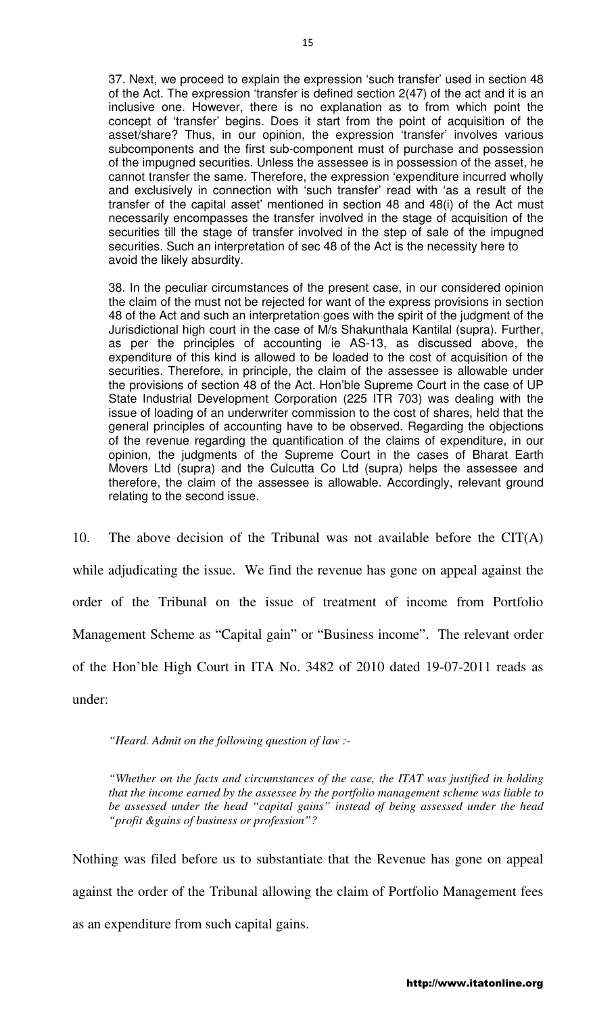37. Next, we proceed to explain the expression 'such transfer' used in section 48 of the Act. The expression 'transfer is defined section 2(47) of the act and it is an inclusive one. However, there is no explanation as to from which point the concept of 'transfer' begins. Does it start from the point of acquisition of the asset/share? Thus, in our opinion, the expression 'transfer' involves various subcomponents and the first sub-component must of purchase and possession of the impugned securities. Unless the assessee is in possession of the asset, he cannot transfer the same. Therefore, the expression 'expenditure incurred wholly and exclusively in connection with 'such transfer' read with 'as a result of the transfer of the capital asset' mentioned in section 48 and 48(i) of the Act must necessarily encompasses the transfer involved in the stage of acquisition of the securities till the stage of transfer involved in the step of sale of the impugned securities. Such an interpretation of sec 48 of the Act is the necessity here to avoid the likely absurdity.

38. In the peculiar circumstances of the present case, in our considered opinion the claim of the must not be rejected for want of the express provisions in section 48 of the Act and such an interpretation goes with the spirit of the judgment of the Jurisdictional high court in the case of M/s Shakunthala Kantilal (supra). Further, as per the principles of accounting ie AS-13, as discussed above, the expenditure of this kind is allowed to be loaded to the cost of acquisition of the securities. Therefore, in principle, the claim of the assessee is allowable under the provisions of section 48 of the Act. Hon'ble Supreme Court in the case of UP State Industrial Development Corporation (225 ITR 703) was dealing with the issue of loading of an underwriter commission to the cost of shares, held that the general principles of accounting have to be observed. Regarding the objections of the revenue regarding the quantification of the claims of expenditure, in our opinion, the judgments of the Supreme Court in the cases of Bharat Earth Movers Ltd (supra) and the Culcutta Co Ltd (supra) helps the assessee and therefore, the claim of the assessee is allowable. Accordingly, relevant ground relating to the second issue.

10. The above decision of the Tribunal was not available before the  $CIT(A)$ while adjudicating the issue. We find the revenue has gone on appeal against the order of the Tribunal on the issue of treatment of income from Portfolio Management Scheme as "Capital gain" or "Business income". The relevant order of the Hon'ble High Court in ITA No. 3482 of 2010 dated 19-07-2011 reads as under:

*"Heard. Admit on the following question of law :-* 

*"Whether on the facts and circumstances of the case, the ITAT was justified in holding that the income earned by the assessee by the portfolio management scheme was liable to be assessed under the head "capital gains" instead of being assessed under the head "profit &gains of business or profession"?* 

Nothing was filed before us to substantiate that the Revenue has gone on appeal against the order of the Tribunal allowing the claim of Portfolio Management fees as an expenditure from such capital gains.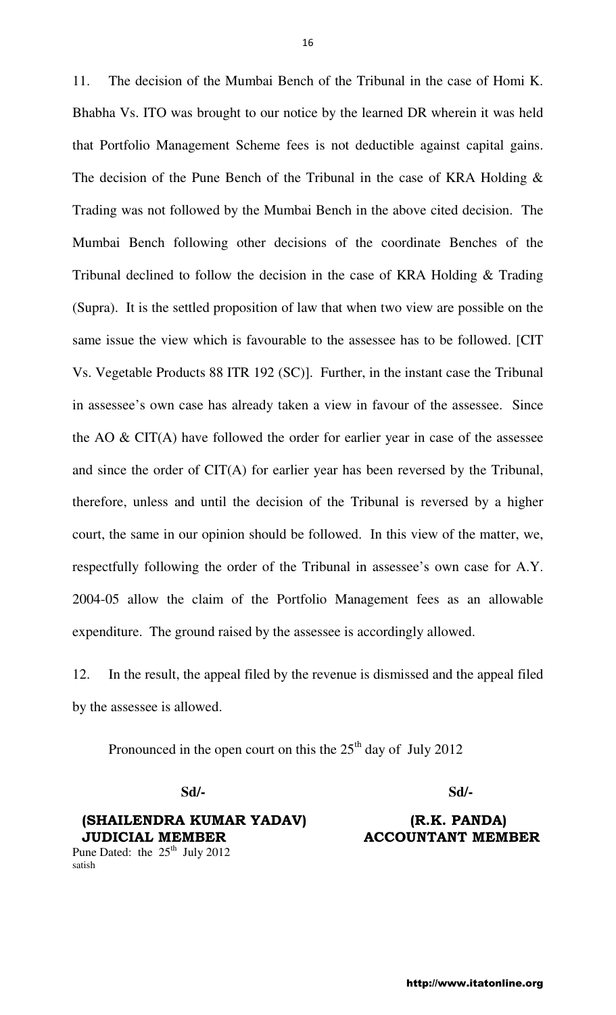11. The decision of the Mumbai Bench of the Tribunal in the case of Homi K. Bhabha Vs. ITO was brought to our notice by the learned DR wherein it was held that Portfolio Management Scheme fees is not deductible against capital gains. The decision of the Pune Bench of the Tribunal in the case of KRA Holding & Trading was not followed by the Mumbai Bench in the above cited decision. The Mumbai Bench following other decisions of the coordinate Benches of the Tribunal declined to follow the decision in the case of KRA Holding & Trading (Supra). It is the settled proposition of law that when two view are possible on the same issue the view which is favourable to the assessee has to be followed. [CIT Vs. Vegetable Products 88 ITR 192 (SC)]. Further, in the instant case the Tribunal in assessee's own case has already taken a view in favour of the assessee. Since the AO & CIT(A) have followed the order for earlier year in case of the assessee and since the order of CIT(A) for earlier year has been reversed by the Tribunal, therefore, unless and until the decision of the Tribunal is reversed by a higher court, the same in our opinion should be followed. In this view of the matter, we, respectfully following the order of the Tribunal in assessee's own case for A.Y. 2004-05 allow the claim of the Portfolio Management fees as an allowable expenditure. The ground raised by the assessee is accordingly allowed.

12. In the result, the appeal filed by the revenue is dismissed and the appeal filed by the assessee is allowed.

Pronounced in the open court on this the  $25<sup>th</sup>$  day of July 2012

 **Sd/- Sd/-** 

# (SHAILENDRA KUMAR YADAV) (R.K. PANDA) JUDICIAL MEMBER ACCOUNTANT MEMBER

Pune Dated: the  $25<sup>th</sup>$  July 2012 satish